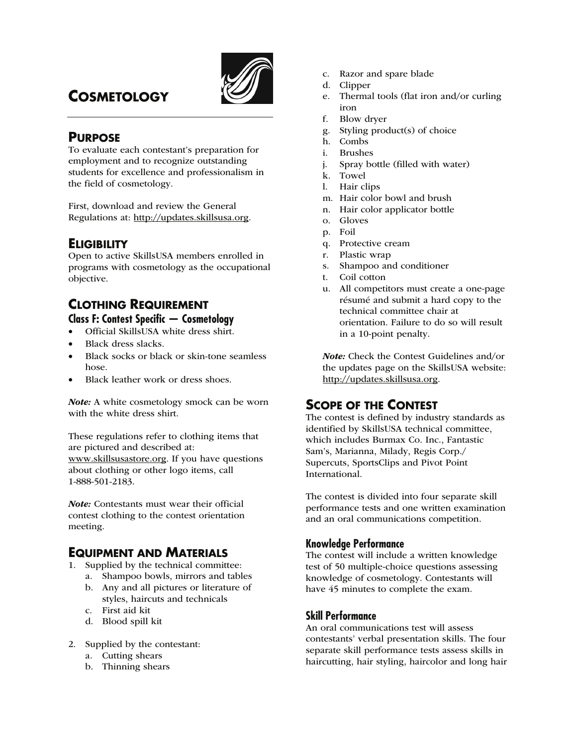

# **COSMETOLOGY**

# **PURPOSE**

To evaluate each contestant's preparation for employment and to recognize outstanding students for excellence and professionalism in the field of cosmetology.

First, download and review the General Regulations at: http://updates.skillsusa.org.

# **ELIGIBILITY**

Open to active SkillsUSA members enrolled in programs with cosmetology as the occupational objective.

# **CLOTHING REQUIREMENT Class F: Contest Specific — Cosmetology**

- Official SkillsUSA white dress shirt.
- Black dress slacks.
- Black socks or black or skin-tone seamless hose.
- Black leather work or dress shoes.

Note: A white cosmetology smock can be worn with the white dress shirt.

These regulations refer to clothing items that are pictured and described at: www.skillsusastore.org. If you have questions about clothing or other logo items, call 1-888-501-2183.

Note: Contestants must wear their official contest clothing to the contest orientation meeting.

# **EQUIPMENT AND MATERIALS**

- 1. Supplied by the technical committee:
	- a. Shampoo bowls, mirrors and tables b. Any and all pictures or literature of
	- styles, haircuts and technicals c. First aid kit
	- d. Blood spill kit
- 2. Supplied by the contestant:
	- a. Cutting shears
	- b. Thinning shears
- c. Razor and spare blade
- d. Clipper
- e. Thermal tools (flat iron and/or curling iron
- f. Blow dryer
- g. Styling product(s) of choice
- h. Combs
- i. Brushes
- j. Spray bottle (filled with water)
- k. Towel
- l. Hair clips
- m. Hair color bowl and brush
- n. Hair color applicator bottle
- o. Gloves
- p. Foil
- q. Protective cream
- r. Plastic wrap
- s. Shampoo and conditioner
- t. Coil cotton
- u. All competitors must create a one-page résumé and submit a hard copy to the technical committee chair at orientation. Failure to do so will result in a 10-point penalty.

Note: Check the Contest Guidelines and/or the updates page on the SkillsUSA website: http://updates.skillsusa.org.

# **SCOPE OF THE CONTEST**

The contest is defined by industry standards as identified by SkillsUSA technical committee, which includes Burmax Co. Inc., Fantastic Sam's, Marianna, Milady, Regis Corp./ Supercuts, SportsClips and Pivot Point International.

The contest is divided into four separate skill performance tests and one written examination and an oral communications competition.

# **Knowledge Performance**

The contest will include a written knowledge test of 50 multiple-choice questions assessing knowledge of cosmetology. Contestants will have 45 minutes to complete the exam.

# **Skill Performance**

An oral communications test will assess contestants' verbal presentation skills. The four separate skill performance tests assess skills in haircutting, hair styling, haircolor and long hair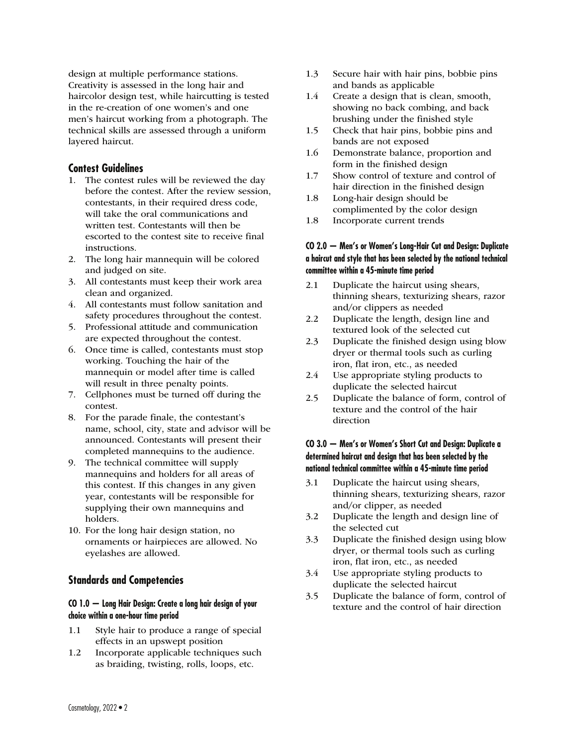design at multiple performance stations. Creativity is assessed in the long hair and haircolor design test, while haircutting is tested in the re-creation of one women's and one men's haircut working from a photograph. The technical skills are assessed through a uniform layered haircut.

### **Contest Guidelines**

- 1. The contest rules will be reviewed the day before the contest. After the review session, contestants, in their required dress code, will take the oral communications and written test. Contestants will then be escorted to the contest site to receive final instructions.
- 2. The long hair mannequin will be colored and judged on site.
- 3. All contestants must keep their work area clean and organized.
- 4. All contestants must follow sanitation and safety procedures throughout the contest.
- 5. Professional attitude and communication are expected throughout the contest.
- 6. Once time is called, contestants must stop working. Touching the hair of the mannequin or model after time is called will result in three penalty points.
- 7. Cellphones must be turned off during the contest.
- 8. For the parade finale, the contestant's name, school, city, state and advisor will be announced. Contestants will present their completed mannequins to the audience.
- 9. The technical committee will supply mannequins and holders for all areas of this contest. If this changes in any given year, contestants will be responsible for supplying their own mannequins and holders.
- 10. For the long hair design station, no ornaments or hairpieces are allowed. No eyelashes are allowed.

# **Standards and Competencies**

#### **CO 1.0 — Long Hair Design: Create a long hair design of your choice within a one-hour time period**

- 1.1 Style hair to produce a range of special effects in an upswept position
- 1.2 Incorporate applicable techniques such as braiding, twisting, rolls, loops, etc.
- 1.3 Secure hair with hair pins, bobbie pins and bands as applicable
- 1.4 Create a design that is clean, smooth, showing no back combing, and back brushing under the finished style
- 1.5 Check that hair pins, bobbie pins and bands are not exposed
- 1.6 Demonstrate balance, proportion and form in the finished design
- 1.7 Show control of texture and control of hair direction in the finished design
- 1.8 Long-hair design should be complimented by the color design
- 1.8 Incorporate current trends

#### **CO 2.0 — Men's or Women's Long-Hair Cut and Design: Duplicate a haircut and style that has been selected by the national technical committee within a 45-minute time period**

- 2.1 Duplicate the haircut using shears, thinning shears, texturizing shears, razor and/or clippers as needed
- 2.2 Duplicate the length, design line and textured look of the selected cut
- 2.3 Duplicate the finished design using blow dryer or thermal tools such as curling iron, flat iron, etc., as needed
- 2.4 Use appropriate styling products to duplicate the selected haircut
- 2.5 Duplicate the balance of form, control of texture and the control of the hair direction

### **CO 3.0 — Men's or Women's Short Cut and Design: Duplicate a determined haircut and design that has been selected by the national technical committee within a 45-minute time period**

- 3.1 Duplicate the haircut using shears, thinning shears, texturizing shears, razor and/or clipper, as needed
- 3.2 Duplicate the length and design line of the selected cut
- 3.3 Duplicate the finished design using blow dryer, or thermal tools such as curling iron, flat iron, etc., as needed
- 3.4 Use appropriate styling products to duplicate the selected haircut
- 3.5 Duplicate the balance of form, control of texture and the control of hair direction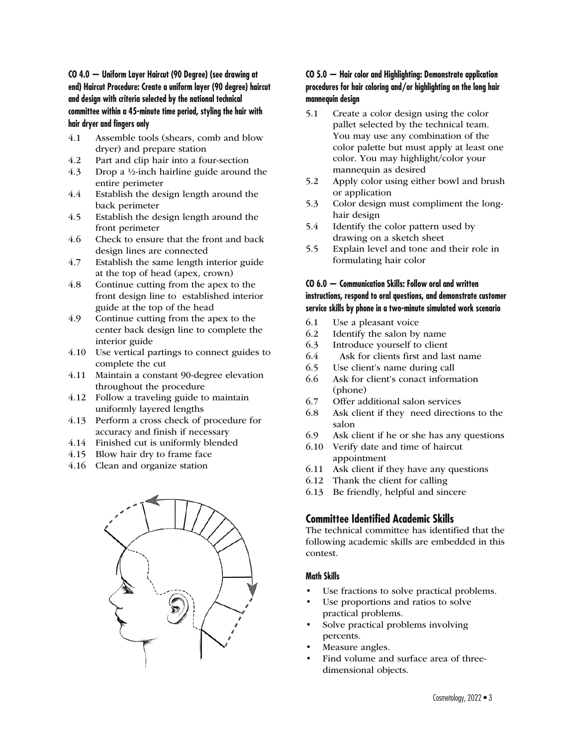**CO 4.0 — Uniform Layer Haircut (90 Degree) (see drawing at end) Haircut Procedure: Create a uniform layer (90 degree) haircut and design with criteria selected by the national technical committee within a 45-minute time period, styling the hair with hair dryer and fingers only** 

- 4.1 Assemble tools (shears, comb and blow dryer) and prepare station
- 4.2 Part and clip hair into a four-section
- 4.3 Drop a ½-inch hairline guide around the entire perimeter
- 4.4 Establish the design length around the back perimeter
- 4.5 Establish the design length around the front perimeter
- 4.6 Check to ensure that the front and back design lines are connected
- 4.7 Establish the same length interior guide at the top of head (apex, crown)
- 4.8 Continue cutting from the apex to the front design line to established interior guide at the top of the head
- 4.9 Continue cutting from the apex to the center back design line to complete the interior guide
- 4.10 Use vertical partings to connect guides to complete the cut
- 4.11 Maintain a constant 90-degree elevation throughout the procedure
- 4.12 Follow a traveling guide to maintain uniformly layered lengths
- 4.13 Perform a cross check of procedure for accuracy and finish if necessary
- 4.14 Finished cut is uniformly blended
- 4.15 Blow hair dry to frame face
- 4.16 Clean and organize station



### **CO 5.0 — Hair color and Highlighting: Demonstrate application procedures for hair coloring and/or highlighting on the long hair mannequin design**

- 5.1 Create a color design using the color pallet selected by the technical team. You may use any combination of the color palette but must apply at least one color. You may highlight/color your mannequin as desired
- 5.2 Apply color using either bowl and brush or application
- 5.3 Color design must compliment the longhair design
- 5.4 Identify the color pattern used by drawing on a sketch sheet
- 5.5 Explain level and tone and their role in formulating hair color

#### **CO 6.0 — Communication Skills: Follow oral and written instructions, respond to oral questions, and demonstrate customer service skills by phone in a two-minute simulated work scenario**

- 6.1 Use a pleasant voice
- 6.2 Identify the salon by name
- 6.3 Introduce yourself to client
- 6.4 Ask for clients first and last name
- 6.5 Use client's name during call
- 6.6 Ask for client's conact information (phone)
- 6.7 Offer additional salon services
- 6.8 Ask client if they need directions to the salon
- 6.9 Ask client if he or she has any questions
- 6.10 Verify date and time of haircut appointment
- 6.11 Ask client if they have any questions
- 6.12 Thank the client for calling
- 6.13 Be friendly, helpful and sincere

# **Committee Identified Academic Skills**

The technical committee has identified that the following academic skills are embedded in this contest.

### **Math Skills**

- Use fractions to solve practical problems.
- Use proportions and ratios to solve practical problems.
- Solve practical problems involving percents.
- Measure angles.
- Find volume and surface area of threedimensional objects.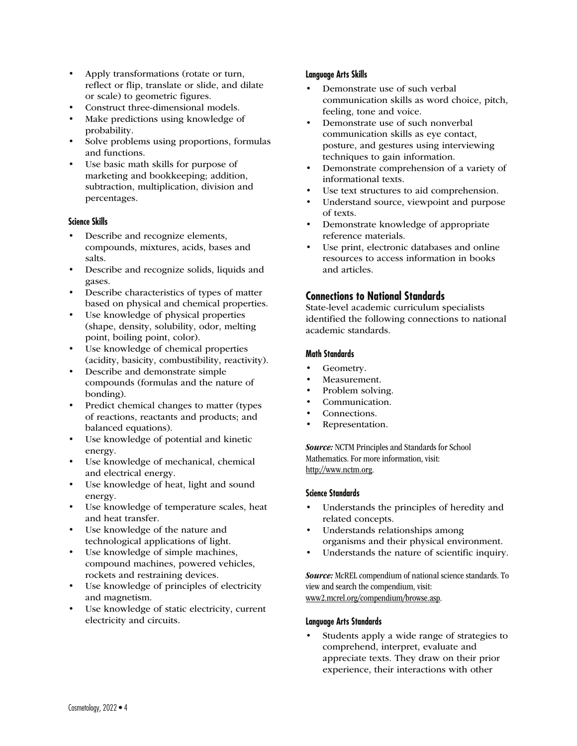- Apply transformations (rotate or turn, reflect or flip, translate or slide, and dilate or scale) to geometric figures.
- Construct three-dimensional models.
- Make predictions using knowledge of probability.
- Solve problems using proportions, formulas and functions.
- Use basic math skills for purpose of marketing and bookkeeping; addition, subtraction, multiplication, division and percentages.

#### **Science Skills**

- Describe and recognize elements, compounds, mixtures, acids, bases and salts.
- Describe and recognize solids, liquids and gases.
- Describe characteristics of types of matter based on physical and chemical properties.
- Use knowledge of physical properties (shape, density, solubility, odor, melting point, boiling point, color).
- Use knowledge of chemical properties (acidity, basicity, combustibility, reactivity).
- Describe and demonstrate simple compounds (formulas and the nature of bonding).
- Predict chemical changes to matter (types of reactions, reactants and products; and balanced equations).
- Use knowledge of potential and kinetic energy.
- Use knowledge of mechanical, chemical and electrical energy.
- Use knowledge of heat, light and sound energy.
- Use knowledge of temperature scales, heat and heat transfer.
- Use knowledge of the nature and technological applications of light.
- Use knowledge of simple machines, compound machines, powered vehicles, rockets and restraining devices.
- Use knowledge of principles of electricity and magnetism.
- Use knowledge of static electricity, current electricity and circuits.

### **Language Arts Skills**

- Demonstrate use of such verbal communication skills as word choice, pitch, feeling, tone and voice.
- Demonstrate use of such nonverbal communication skills as eye contact, posture, and gestures using interviewing techniques to gain information.
- Demonstrate comprehension of a variety of informational texts.
- Use text structures to aid comprehension.
- Understand source, viewpoint and purpose of texts.
- Demonstrate knowledge of appropriate reference materials.
- Use print, electronic databases and online resources to access information in books and articles.

# **Connections to National Standards**

State-level academic curriculum specialists identified the following connections to national academic standards.

#### **Math Standards**

- Geometry.
- Measurement.
- Problem solving.
- Communication.
- Connections.
- Representation.

**Source:** NCTM Principles and Standards for School Mathematics. For more information, visit: http://www.nctm.org.

#### **Science Standards**

- Understands the principles of heredity and related concepts.
- Understands relationships among organisms and their physical environment.
- Understands the nature of scientific inquiry.

Source: McREL compendium of national science standards. To view and search the compendium, visit: www2.mcrel.org/compendium/browse.asp.

#### **Language Arts Standards**

• Students apply a wide range of strategies to comprehend, interpret, evaluate and appreciate texts. They draw on their prior experience, their interactions with other